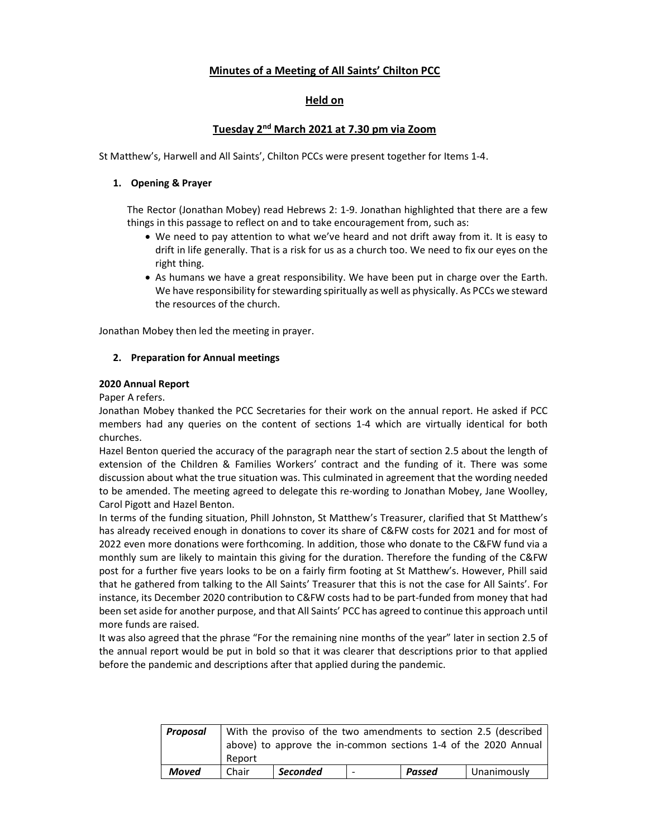## Minutes of a Meeting of All Saints' Chilton PCC

## Held on

## Tuesday 2<sup>nd</sup> March 2021 at 7.30 pm via Zoom

St Matthew's, Harwell and All Saints', Chilton PCCs were present together for Items 1-4.

#### 1. Opening & Prayer

The Rector (Jonathan Mobey) read Hebrews 2: 1-9. Jonathan highlighted that there are a few things in this passage to reflect on and to take encouragement from, such as:

- We need to pay attention to what we've heard and not drift away from it. It is easy to drift in life generally. That is a risk for us as a church too. We need to fix our eyes on the right thing.
- As humans we have a great responsibility. We have been put in charge over the Earth. We have responsibility for stewarding spiritually as well as physically. As PCCs we steward the resources of the church.

Jonathan Mobey then led the meeting in prayer.

#### 2. Preparation for Annual meetings

#### 2020 Annual Report

Paper A refers.

Jonathan Mobey thanked the PCC Secretaries for their work on the annual report. He asked if PCC members had any queries on the content of sections 1-4 which are virtually identical for both churches.

Hazel Benton queried the accuracy of the paragraph near the start of section 2.5 about the length of extension of the Children & Families Workers' contract and the funding of it. There was some discussion about what the true situation was. This culminated in agreement that the wording needed to be amended. The meeting agreed to delegate this re-wording to Jonathan Mobey, Jane Woolley, Carol Pigott and Hazel Benton.

In terms of the funding situation, Phill Johnston, St Matthew's Treasurer, clarified that St Matthew's has already received enough in donations to cover its share of C&FW costs for 2021 and for most of 2022 even more donations were forthcoming. In addition, those who donate to the C&FW fund via a monthly sum are likely to maintain this giving for the duration. Therefore the funding of the C&FW post for a further five years looks to be on a fairly firm footing at St Matthew's. However, Phill said that he gathered from talking to the All Saints' Treasurer that this is not the case for All Saints'. For instance, its December 2020 contribution to C&FW costs had to be part-funded from money that had been set aside for another purpose, and that All Saints' PCC has agreed to continue this approach until more funds are raised.

It was also agreed that the phrase "For the remaining nine months of the year" later in section 2.5 of the annual report would be put in bold so that it was clearer that descriptions prior to that applied before the pandemic and descriptions after that applied during the pandemic.

| Proposal | With the proviso of the two amendments to section 2.5 (described<br>above) to approve the in-common sections 1-4 of the 2020 Annual |                 |                          |        |             |  |  |  |
|----------|-------------------------------------------------------------------------------------------------------------------------------------|-----------------|--------------------------|--------|-------------|--|--|--|
|          | Report                                                                                                                              |                 |                          |        |             |  |  |  |
| Moved    | Chair                                                                                                                               | <b>Seconded</b> | $\overline{\phantom{0}}$ | Passed | Unanimously |  |  |  |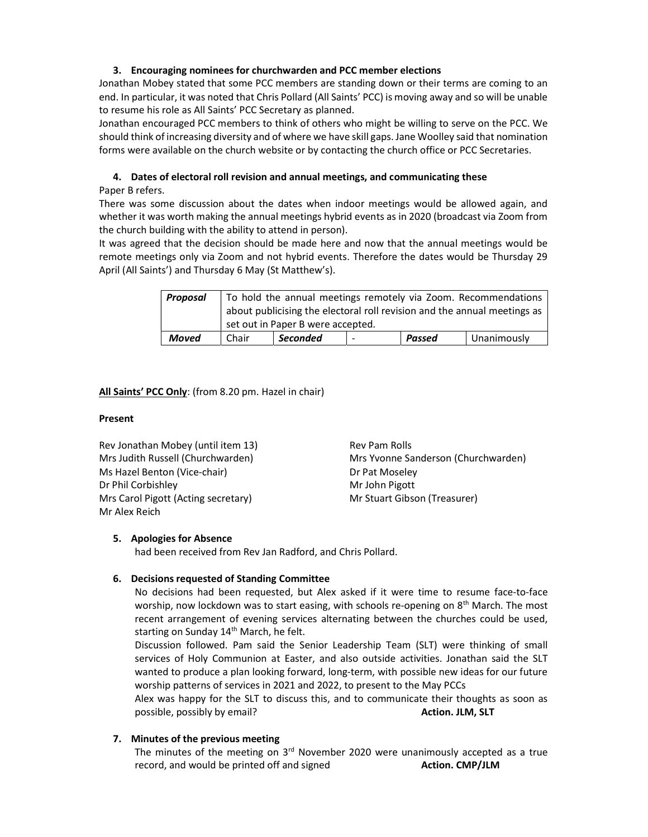## 3. Encouraging nominees for churchwarden and PCC member elections

Jonathan Mobey stated that some PCC members are standing down or their terms are coming to an end. In particular, it was noted that Chris Pollard (All Saints' PCC) is moving away and so will be unable to resume his role as All Saints' PCC Secretary as planned.

Jonathan encouraged PCC members to think of others who might be willing to serve on the PCC. We should think of increasing diversity and of where we have skill gaps. Jane Woolley said that nomination forms were available on the church website or by contacting the church office or PCC Secretaries.

# 4. Dates of electoral roll revision and annual meetings, and communicating these

Paper B refers.

There was some discussion about the dates when indoor meetings would be allowed again, and whether it was worth making the annual meetings hybrid events as in 2020 (broadcast via Zoom from the church building with the ability to attend in person).

It was agreed that the decision should be made here and now that the annual meetings would be remote meetings only via Zoom and not hybrid events. Therefore the dates would be Thursday 29 April (All Saints') and Thursday 6 May (St Matthew's).

| Proposal | To hold the annual meetings remotely via Zoom. Recommendations           |                 |                |        |             |  |  |  |
|----------|--------------------------------------------------------------------------|-----------------|----------------|--------|-------------|--|--|--|
|          | about publicising the electoral roll revision and the annual meetings as |                 |                |        |             |  |  |  |
|          | set out in Paper B were accepted.                                        |                 |                |        |             |  |  |  |
| Moved    | Chair                                                                    | <b>Seconded</b> | $\overline{ }$ | Passed | Unanimously |  |  |  |

## All Saints' PCC Only: (from 8.20 pm. Hazel in chair)

## Present

Rev Jonathan Mobey (until item 13) Rev Pam Rolls Ms Hazel Benton (Vice-chair) Dr Pat Moseley Dr Phil Corbishley Mr John Pigott Mrs Carol Pigott (Acting secretary) Mr Stuart Gibson (Treasurer) Mr Alex Reich

Mrs Judith Russell (Churchwarden) Mrs Yvonne Sanderson (Churchwarden)

## 5. Apologies for Absence

had been received from Rev Jan Radford, and Chris Pollard.

## 6. Decisions requested of Standing Committee

No decisions had been requested, but Alex asked if it were time to resume face-to-face worship, now lockdown was to start easing, with schools re-opening on 8<sup>th</sup> March. The most recent arrangement of evening services alternating between the churches could be used, starting on Sunday 14<sup>th</sup> March, he felt.

Discussion followed. Pam said the Senior Leadership Team (SLT) were thinking of small services of Holy Communion at Easter, and also outside activities. Jonathan said the SLT wanted to produce a plan looking forward, long-term, with possible new ideas for our future worship patterns of services in 2021 and 2022, to present to the May PCCs

Alex was happy for the SLT to discuss this, and to communicate their thoughts as soon as possible, possibly by email? The contraction of the contraction. JLM, SLT

## 7. Minutes of the previous meeting

The minutes of the meeting on  $3<sup>rd</sup>$  November 2020 were unanimously accepted as a true record, and would be printed off and signed **Action. CMP/JLM**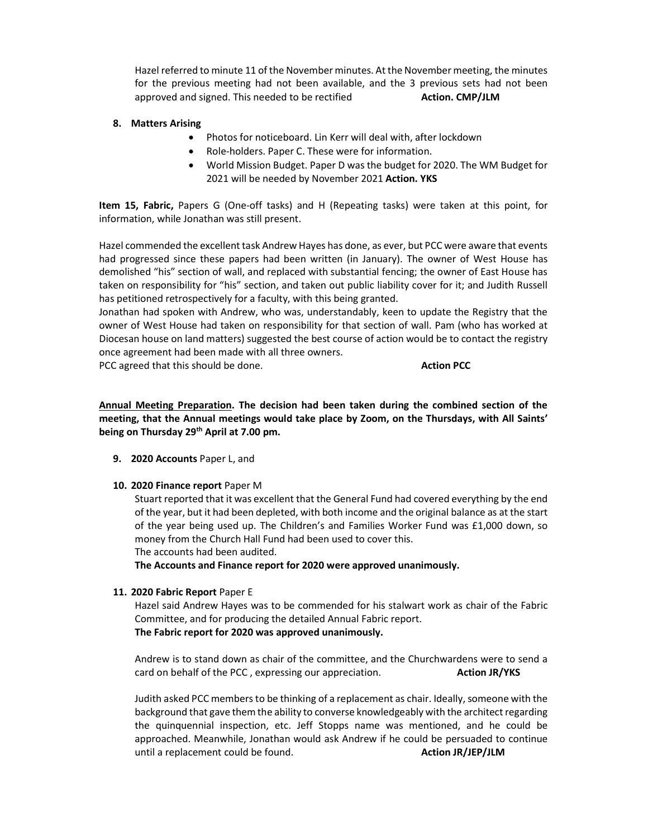Hazel referred to minute 11 of the November minutes. At the November meeting, the minutes for the previous meeting had not been available, and the 3 previous sets had not been approved and signed. This needed to be rectified **Action. CMP/JLM** 

#### 8. Matters Arising

- Photos for noticeboard. Lin Kerr will deal with, after lockdown
- Role-holders. Paper C. These were for information.
- World Mission Budget. Paper D was the budget for 2020. The WM Budget for 2021 will be needed by November 2021 Action. YKS

Item 15, Fabric, Papers G (One-off tasks) and H (Repeating tasks) were taken at this point, for information, while Jonathan was still present.

Hazel commended the excellent task Andrew Hayes has done, as ever, but PCC were aware that events had progressed since these papers had been written (in January). The owner of West House has demolished "his" section of wall, and replaced with substantial fencing; the owner of East House has taken on responsibility for "his" section, and taken out public liability cover for it; and Judith Russell has petitioned retrospectively for a faculty, with this being granted.

Jonathan had spoken with Andrew, who was, understandably, keen to update the Registry that the owner of West House had taken on responsibility for that section of wall. Pam (who has worked at Diocesan house on land matters) suggested the best course of action would be to contact the registry once agreement had been made with all three owners.

PCC agreed that this should be done. The state of the state of the Action PCC

Annual Meeting Preparation. The decision had been taken during the combined section of the meeting, that the Annual meetings would take place by Zoom, on the Thursdays, with All Saints' being on Thursday 29<sup>th</sup> April at 7.00 pm.

- 9. 2020 Accounts Paper L, and
- 10. 2020 Finance report Paper M

Stuart reported that it was excellent that the General Fund had covered everything by the end of the year, but it had been depleted, with both income and the original balance as at the start of the year being used up. The Children's and Families Worker Fund was £1,000 down, so money from the Church Hall Fund had been used to cover this. The accounts had been audited.

The Accounts and Finance report for 2020 were approved unanimously.

## 11. 2020 Fabric Report Paper E

Hazel said Andrew Hayes was to be commended for his stalwart work as chair of the Fabric Committee, and for producing the detailed Annual Fabric report. The Fabric report for 2020 was approved unanimously.

Andrew is to stand down as chair of the committee, and the Churchwardens were to send a card on behalf of the PCC, expressing our appreciation. Action JR/YKS

Judith asked PCC members to be thinking of a replacement as chair. Ideally, someone with the background that gave them the ability to converse knowledgeably with the architect regarding the quinquennial inspection, etc. Jeff Stopps name was mentioned, and he could be approached. Meanwhile, Jonathan would ask Andrew if he could be persuaded to continue until a replacement could be found. Action JR/JEP/JLM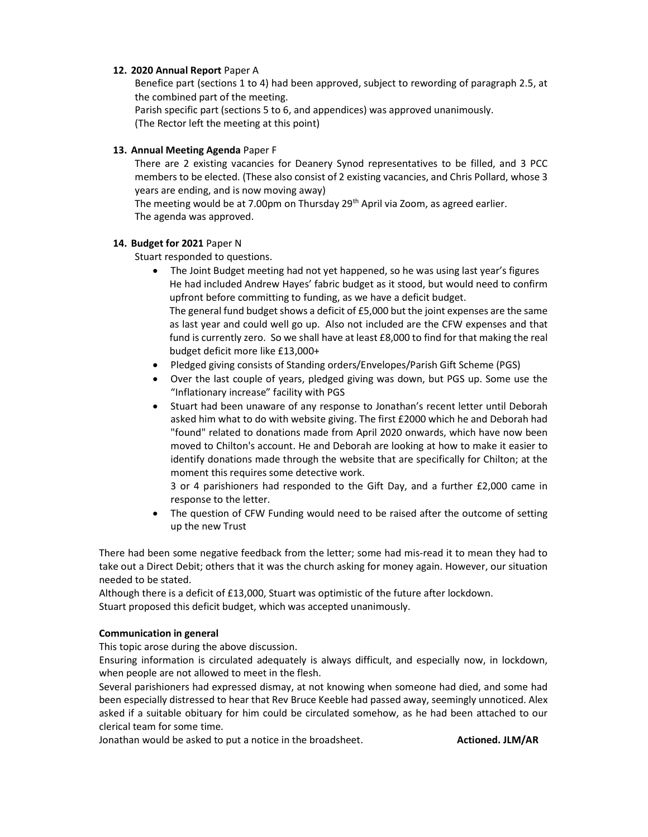## 12. 2020 Annual Report Paper A

Benefice part (sections 1 to 4) had been approved, subject to rewording of paragraph 2.5, at the combined part of the meeting.

Parish specific part (sections 5 to 6, and appendices) was approved unanimously. (The Rector left the meeting at this point)

## 13. Annual Meeting Agenda Paper F

There are 2 existing vacancies for Deanery Synod representatives to be filled, and 3 PCC members to be elected. (These also consist of 2 existing vacancies, and Chris Pollard, whose 3 years are ending, and is now moving away)

The meeting would be at 7.00pm on Thursday 29<sup>th</sup> April via Zoom, as agreed earlier. The agenda was approved.

#### 14. Budget for 2021 Paper N

Stuart responded to questions.

 The Joint Budget meeting had not yet happened, so he was using last year's figures He had included Andrew Hayes' fabric budget as it stood, but would need to confirm upfront before committing to funding, as we have a deficit budget. The general fund budget shows a deficit of £5,000 but the joint expenses are the same

as last year and could well go up. Also not included are the CFW expenses and that fund is currently zero. So we shall have at least £8,000 to find for that making the real budget deficit more like £13,000+

- Pledged giving consists of Standing orders/Envelopes/Parish Gift Scheme (PGS)
- Over the last couple of years, pledged giving was down, but PGS up. Some use the "Inflationary increase" facility with PGS
- Stuart had been unaware of any response to Jonathan's recent letter until Deborah asked him what to do with website giving. The first £2000 which he and Deborah had "found" related to donations made from April 2020 onwards, which have now been moved to Chilton's account. He and Deborah are looking at how to make it easier to identify donations made through the website that are specifically for Chilton; at the moment this requires some detective work.

3 or 4 parishioners had responded to the Gift Day, and a further £2,000 came in response to the letter.

• The question of CFW Funding would need to be raised after the outcome of setting up the new Trust

There had been some negative feedback from the letter; some had mis-read it to mean they had to take out a Direct Debit; others that it was the church asking for money again. However, our situation needed to be stated.

Although there is a deficit of £13,000, Stuart was optimistic of the future after lockdown. Stuart proposed this deficit budget, which was accepted unanimously.

## Communication in general

This topic arose during the above discussion.

Ensuring information is circulated adequately is always difficult, and especially now, in lockdown, when people are not allowed to meet in the flesh.

Several parishioners had expressed dismay, at not knowing when someone had died, and some had been especially distressed to hear that Rev Bruce Keeble had passed away, seemingly unnoticed. Alex asked if a suitable obituary for him could be circulated somehow, as he had been attached to our clerical team for some time.

Jonathan would be asked to put a notice in the broadsheet. **Actioned. JLM/AR**